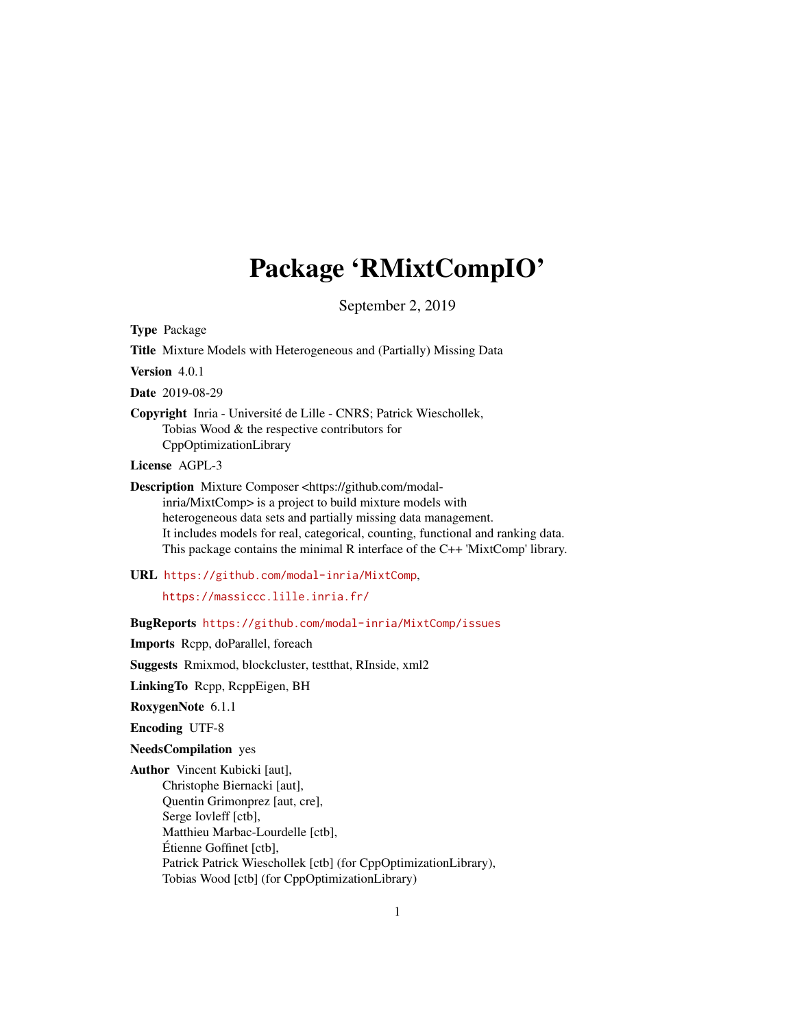## Package 'RMixtCompIO'

September 2, 2019

<span id="page-0-0"></span>Type Package

Title Mixture Models with Heterogeneous and (Partially) Missing Data

Version 4.0.1

Date 2019-08-29

Copyright Inria - Université de Lille - CNRS; Patrick Wieschollek, Tobias Wood & the respective contributors for CppOptimizationLibrary

License AGPL-3

Description Mixture Composer <https://github.com/modalinria/MixtComp> is a project to build mixture models with heterogeneous data sets and partially missing data management. It includes models for real, categorical, counting, functional and ranking data. This package contains the minimal R interface of the C++ 'MixtComp' library.

URL <https://github.com/modal-inria/MixtComp>,

<https://massiccc.lille.inria.fr/>

BugReports <https://github.com/modal-inria/MixtComp/issues>

Imports Rcpp, doParallel, foreach

Suggests Rmixmod, blockcluster, testthat, RInside, xml2

LinkingTo Rcpp, RcppEigen, BH

RoxygenNote 6.1.1

Encoding UTF-8

NeedsCompilation yes

Author Vincent Kubicki [aut], Christophe Biernacki [aut], Quentin Grimonprez [aut, cre], Serge Iovleff [ctb], Matthieu Marbac-Lourdelle [ctb], Étienne Goffinet [ctb], Patrick Patrick Wieschollek [ctb] (for CppOptimizationLibrary), Tobias Wood [ctb] (for CppOptimizationLibrary)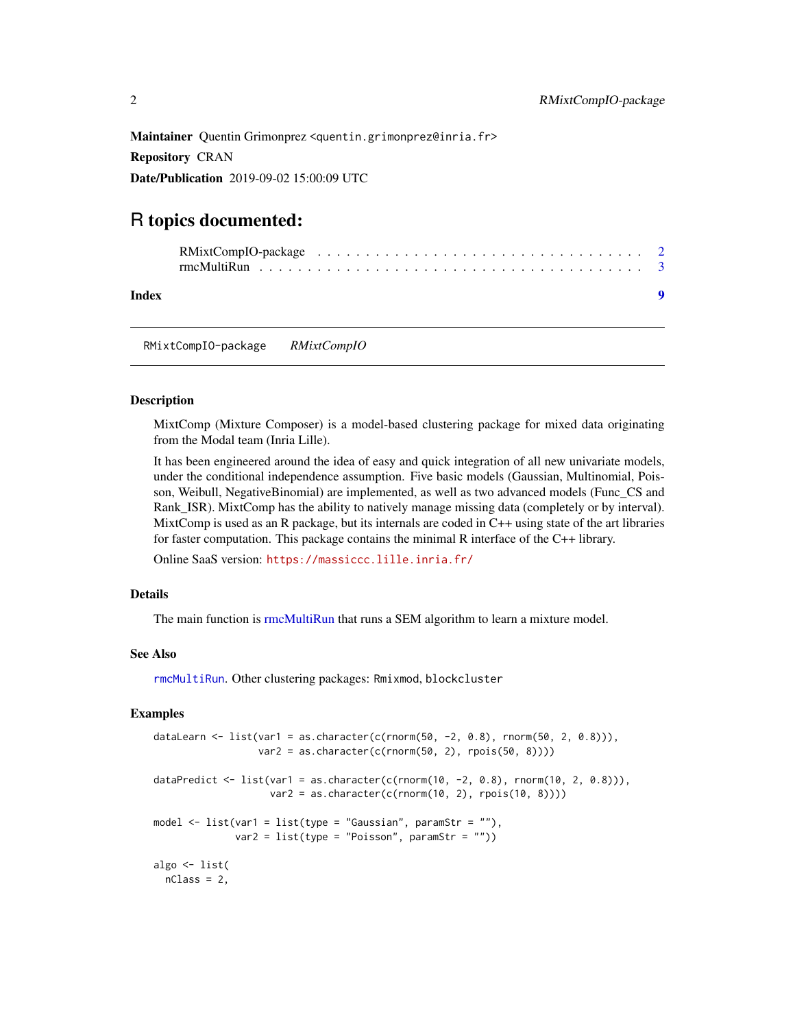Maintainer Quentin Grimonprez <quentin.grimonprez@inria.fr> Repository CRAN Date/Publication 2019-09-02 15:00:09 UTC

### R topics documented:

| Index |  |  |  |  |  |  |  |  |  |  |  |  |  |  |  |  |  |
|-------|--|--|--|--|--|--|--|--|--|--|--|--|--|--|--|--|--|

RMixtCompIO-package *RMixtCompIO*

#### Description

MixtComp (Mixture Composer) is a model-based clustering package for mixed data originating from the Modal team (Inria Lille).

It has been engineered around the idea of easy and quick integration of all new univariate models, under the conditional independence assumption. Five basic models (Gaussian, Multinomial, Poisson, Weibull, NegativeBinomial) are implemented, as well as two advanced models (Func\_CS and Rank\_ISR). MixtComp has the ability to natively manage missing data (completely or by interval). MixtComp is used as an R package, but its internals are coded in C++ using state of the art libraries for faster computation. This package contains the minimal R interface of the C++ library.

Online SaaS version: <https://massiccc.lille.inria.fr/>

#### Details

The main function is [rmcMultiRun](#page-2-1) that runs a SEM algorithm to learn a mixture model.

#### See Also

[rmcMultiRun](#page-2-1). Other clustering packages: Rmixmod, blockcluster

#### Examples

```
dataLearn \leq list(var1 = as.character(c(rnorm(50, -2, 0.8), rnorm(50, 2, 0.8))),
                  var2 = as.charAtacter(c(rnorm(50, 2), rpois(50, 8))))dataPredict <- list(var1 = as.character(c(rnorm(10, -2, 0.8), rnorm(10, 2, 0.8))),
                    var2 = as.charAtacter(c(rnorm(10, 2), \text{rpois}(10, 8))))model \le list(var1 = list(type = "Gaussian", paramStr = ""),
              var2 = list(type = "Poisson", paramStr = "")algo <- list(
 nClass = 2,
```
<span id="page-1-0"></span>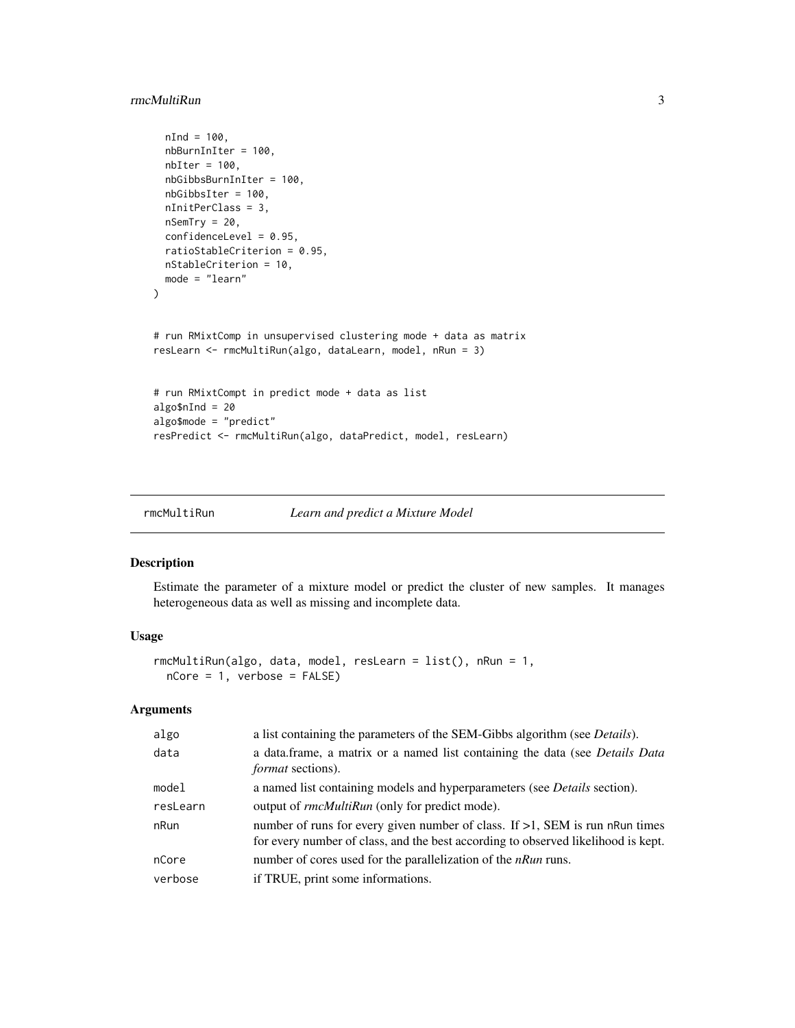#### <span id="page-2-0"></span>rmcMultiRun 3

```
nInd = 100,
 nbBurnInIter = 100,
 nbIter = 100,
 nbGibbsBurnInIter = 100,
 nbGibbsIter = 100,
 nInitPerClass = 3,
 nSemTry = 20,confidenceLevel = 0.95,
 ratioStableCriterion = 0.95,
 nStableCriterion = 10,
 mode = "learn"
\overline{\phantom{a}}# run RMixtComp in unsupervised clustering mode + data as matrix
resLearn <- rmcMultiRun(algo, dataLearn, model, nRun = 3)
# run RMixtCompt in predict mode + data as list
algofnInd = 20algo$mode = "predict"
resPredict <- rmcMultiRun(algo, dataPredict, model, resLearn)
```
<span id="page-2-1"></span>rmcMultiRun *Learn and predict a Mixture Model*

#### Description

Estimate the parameter of a mixture model or predict the cluster of new samples. It manages heterogeneous data as well as missing and incomplete data.

#### Usage

```
rmcMultiRun(algo, data, model, resLearn = list(), nRun = 1,
 nCore = 1, verbose = FALSE)
```
#### Arguments

| algo     | a list containing the parameters of the SEM-Gibbs algorithm (see <i>Details</i> ).                                                                                   |
|----------|----------------------------------------------------------------------------------------------------------------------------------------------------------------------|
| data     | a data frame, a matrix or a named list containing the data (see <i>Details Data</i> )<br><i>format</i> sections).                                                    |
| model    | a named list containing models and hyperparameters (see <i>Details</i> section).                                                                                     |
| resLearn | output of <i>rmcMultiRun</i> (only for predict mode).                                                                                                                |
| nRun     | number of runs for every given number of class. If $>1$ , SEM is run nRun times<br>for every number of class, and the best according to observed likelihood is kept. |
| nCore    | number of cores used for the parallelization of the $nRun$ runs.                                                                                                     |
| verbose  | if TRUE, print some informations.                                                                                                                                    |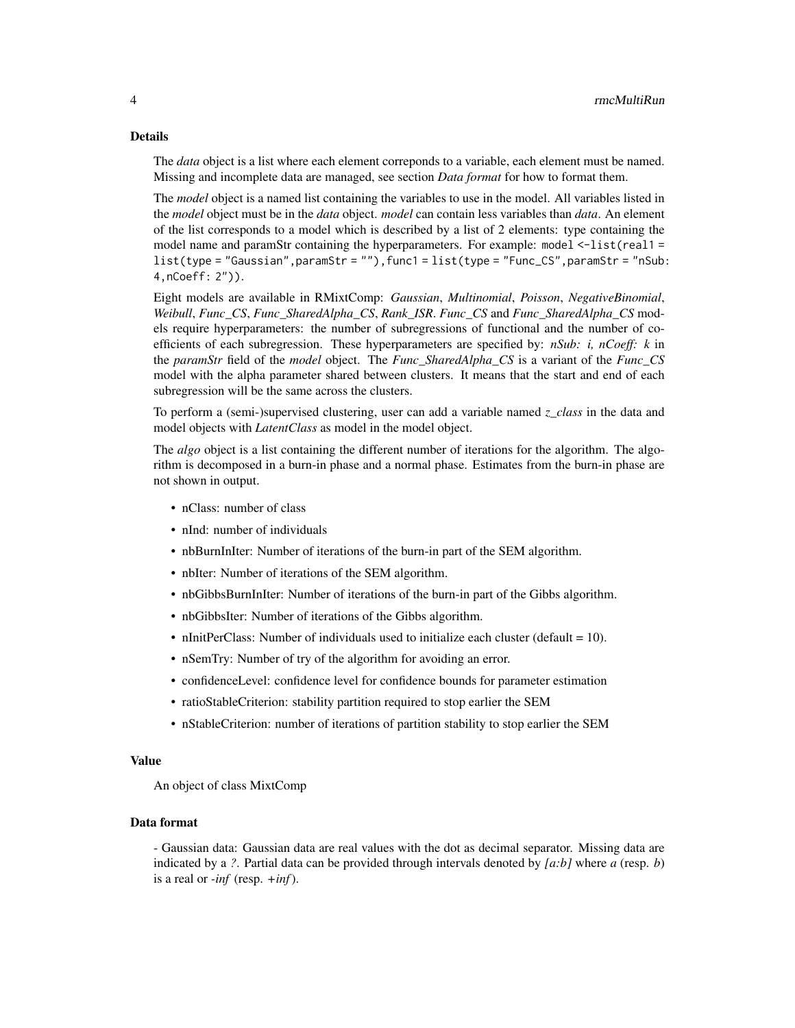#### Details

The *data* object is a list where each element correponds to a variable, each element must be named. Missing and incomplete data are managed, see section *Data format* for how to format them.

The *model* object is a named list containing the variables to use in the model. All variables listed in the *model* object must be in the *data* object. *model* can contain less variables than *data*. An element of the list corresponds to a model which is described by a list of 2 elements: type containing the model name and paramStr containing the hyperparameters. For example: model <-list(real1 = list(type = "Gaussian",paramStr = ""),func1 = list(type = "Func\_CS",paramStr = "nSub: 4,nCoeff: 2")).

Eight models are available in RMixtComp: *Gaussian*, *Multinomial*, *Poisson*, *NegativeBinomial*, *Weibull*, *Func\_CS*, *Func\_SharedAlpha\_CS*, *Rank\_ISR*. *Func\_CS* and *Func\_SharedAlpha\_CS* models require hyperparameters: the number of subregressions of functional and the number of coefficients of each subregression. These hyperparameters are specified by: *nSub: i, nCoeff: k* in the *paramStr* field of the *model* object. The *Func\_SharedAlpha\_CS* is a variant of the *Func\_CS* model with the alpha parameter shared between clusters. It means that the start and end of each subregression will be the same across the clusters.

To perform a (semi-)supervised clustering, user can add a variable named *z\_class* in the data and model objects with *LatentClass* as model in the model object.

The *algo* object is a list containing the different number of iterations for the algorithm. The algorithm is decomposed in a burn-in phase and a normal phase. Estimates from the burn-in phase are not shown in output.

- nClass: number of class
- nInd: number of individuals
- nbBurnInIter: Number of iterations of the burn-in part of the SEM algorithm.
- nbIter: Number of iterations of the SEM algorithm.
- nbGibbsBurnInIter: Number of iterations of the burn-in part of the Gibbs algorithm.
- nbGibbsIter: Number of iterations of the Gibbs algorithm.
- nInitPerClass: Number of individuals used to initialize each cluster (default = 10).
- nSemTry: Number of try of the algorithm for avoiding an error.
- confidenceLevel: confidence level for confidence bounds for parameter estimation
- ratioStableCriterion: stability partition required to stop earlier the SEM
- nStableCriterion: number of iterations of partition stability to stop earlier the SEM

#### Value

An object of class MixtComp

#### Data format

- Gaussian data: Gaussian data are real values with the dot as decimal separator. Missing data are indicated by a *?*. Partial data can be provided through intervals denoted by *[a:b]* where *a* (resp. *b*) is a real or *-inf* (resp. *+inf*).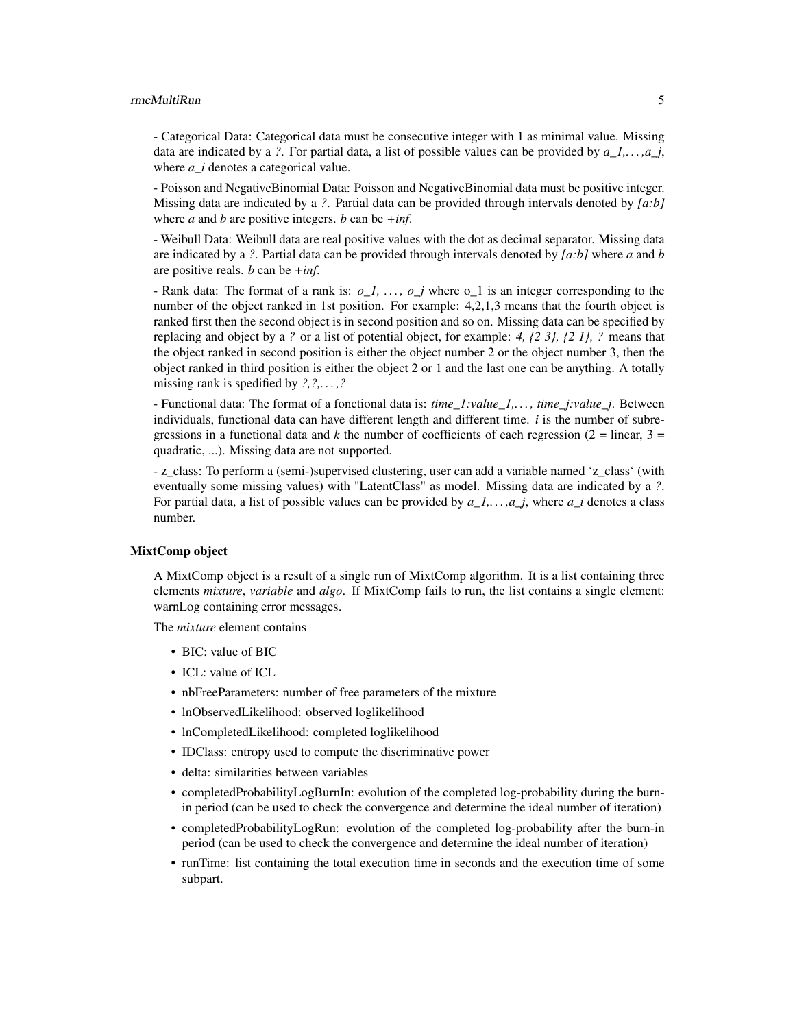#### rmcMultiRun 5

- Categorical Data: Categorical data must be consecutive integer with 1 as minimal value. Missing data are indicated by a *?*. For partial data, a list of possible values can be provided by  $a_1, \ldots, a_j$ , where *a i* denotes a categorical value.

- Poisson and NegativeBinomial Data: Poisson and NegativeBinomial data must be positive integer. Missing data are indicated by a *?*. Partial data can be provided through intervals denoted by *[a:b]* where *a* and *b* are positive integers. *b* can be *+inf*.

- Weibull Data: Weibull data are real positive values with the dot as decimal separator. Missing data are indicated by a *?*. Partial data can be provided through intervals denoted by *[a:b]* where *a* and *b* are positive reals. *b* can be *+inf*.

- Rank data: The format of a rank is: *o\_1, . . . , o\_j* where o\_1 is an integer corresponding to the number of the object ranked in 1st position. For example: 4,2,1,3 means that the fourth object is ranked first then the second object is in second position and so on. Missing data can be specified by replacing and object by a *?* or a list of potential object, for example: *4, {2 3}, {2 1}, ?* means that the object ranked in second position is either the object number 2 or the object number 3, then the object ranked in third position is either the object 2 or 1 and the last one can be anything. A totally missing rank is spedified by *?,?,. . . ,?*

- Functional data: The format of a fonctional data is: *time\_1:value\_1,. . . , time\_j:value\_j*. Between individuals, functional data can have different length and different time.  $i$  is the number of subregressions in a functional data and *k* the number of coefficients of each regression ( $2 =$  linear,  $3 =$ quadratic, ...). Missing data are not supported.

- z\_class: To perform a (semi-)supervised clustering, user can add a variable named 'z\_class' (with eventually some missing values) with "LatentClass" as model. Missing data are indicated by a *?*. For partial data, a list of possible values can be provided by *a\_1,. . . ,a\_j*, where *a\_i* denotes a class number.

#### MixtComp object

A MixtComp object is a result of a single run of MixtComp algorithm. It is a list containing three elements *mixture*, *variable* and *algo*. If MixtComp fails to run, the list contains a single element: warnLog containing error messages.

The *mixture* element contains

- BIC: value of BIC
- ICL: value of ICL
- nbFreeParameters: number of free parameters of the mixture
- lnObservedLikelihood: observed loglikelihood
- InCompletedLikelihood: completed loglikelihood
- IDClass: entropy used to compute the discriminative power
- delta: similarities between variables
- completedProbabilityLogBurnIn: evolution of the completed log-probability during the burnin period (can be used to check the convergence and determine the ideal number of iteration)
- completedProbabilityLogRun: evolution of the completed log-probability after the burn-in period (can be used to check the convergence and determine the ideal number of iteration)
- runTime: list containing the total execution time in seconds and the execution time of some subpart.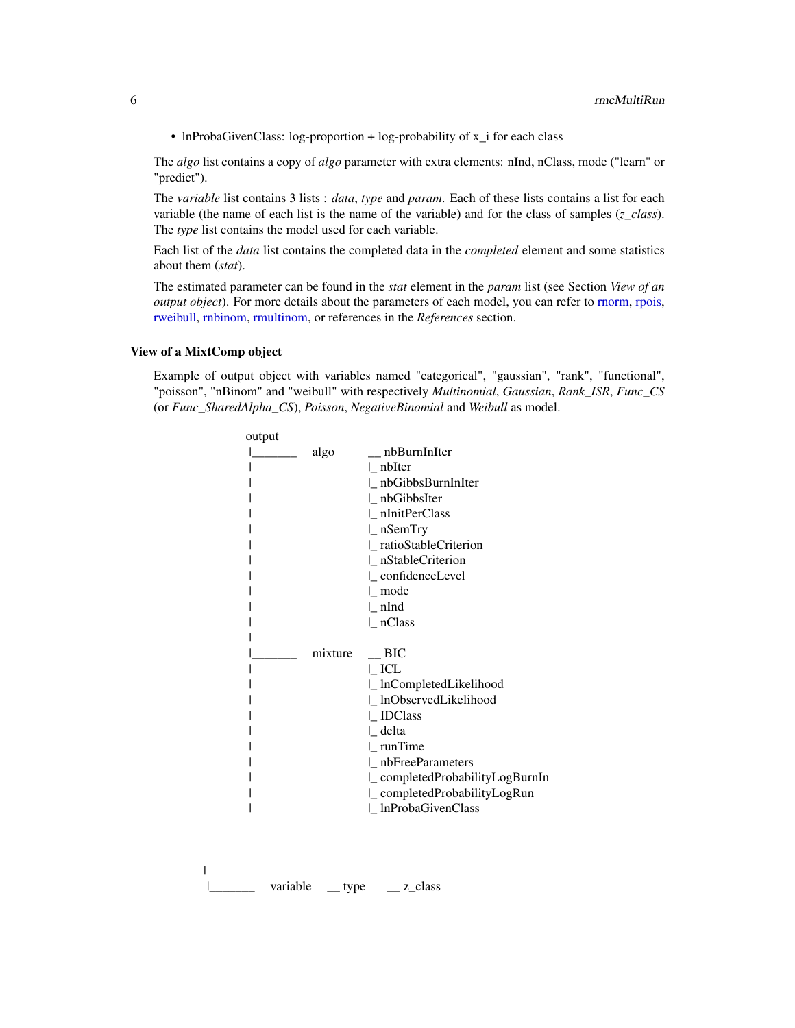<span id="page-5-0"></span>• InProbaGivenClass: log-proportion + log-probability of  $x_i$  for each class

The *algo* list contains a copy of *algo* parameter with extra elements: nInd, nClass, mode ("learn" or "predict").

The *variable* list contains 3 lists : *data*, *type* and *param*. Each of these lists contains a list for each variable (the name of each list is the name of the variable) and for the class of samples (*z\_class*). The *type* list contains the model used for each variable.

Each list of the *data* list contains the completed data in the *completed* element and some statistics about them (*stat*).

The estimated parameter can be found in the *stat* element in the *param* list (see Section *View of an output object*). For more details about the parameters of each model, you can refer to [rnorm,](#page-0-0) [rpois,](#page-0-0) [rweibull,](#page-0-0) [rnbinom,](#page-0-0) [rmultinom,](#page-0-0) or references in the *References* section.

#### View of a MixtComp object

|

Example of output object with variables named "categorical", "gaussian", "rank", "functional", "poisson", "nBinom" and "weibull" with respectively *Multinomial*, *Gaussian*, *Rank\_ISR*, *Func\_CS* (or *Func\_SharedAlpha\_CS*), *Poisson*, *NegativeBinomial* and *Weibull* as model.

| output   |                    |                                                                                                                                                                                                                               |
|----------|--------------------|-------------------------------------------------------------------------------------------------------------------------------------------------------------------------------------------------------------------------------|
|          | algo               | nbBurnInIter<br>  nbIter<br>  nbGibbsBurnInIter<br>  nbGibbsIter<br>  nInitPerClass<br>$\mathsf{l}$ nSemTry<br>  ratioStableCriterion<br>  nStableCriterion<br>  confidenceLevel<br>l_mode<br>  nInd<br>l_nClass              |
|          | mixture            | <b>BIC</b><br>$ $ ICL<br>  InCompletedLikelihood<br>  lnObservedLikelihood<br>  IDClass<br>  delta<br>  runTime<br>nbFreeParameters<br> _completedProbabilityLogBurnIn<br> _completedProbabilityLogRun<br>  InProbaGivenClass |
| variable | $_{\rm \_\, type}$ | $\angle$ z_class                                                                                                                                                                                                              |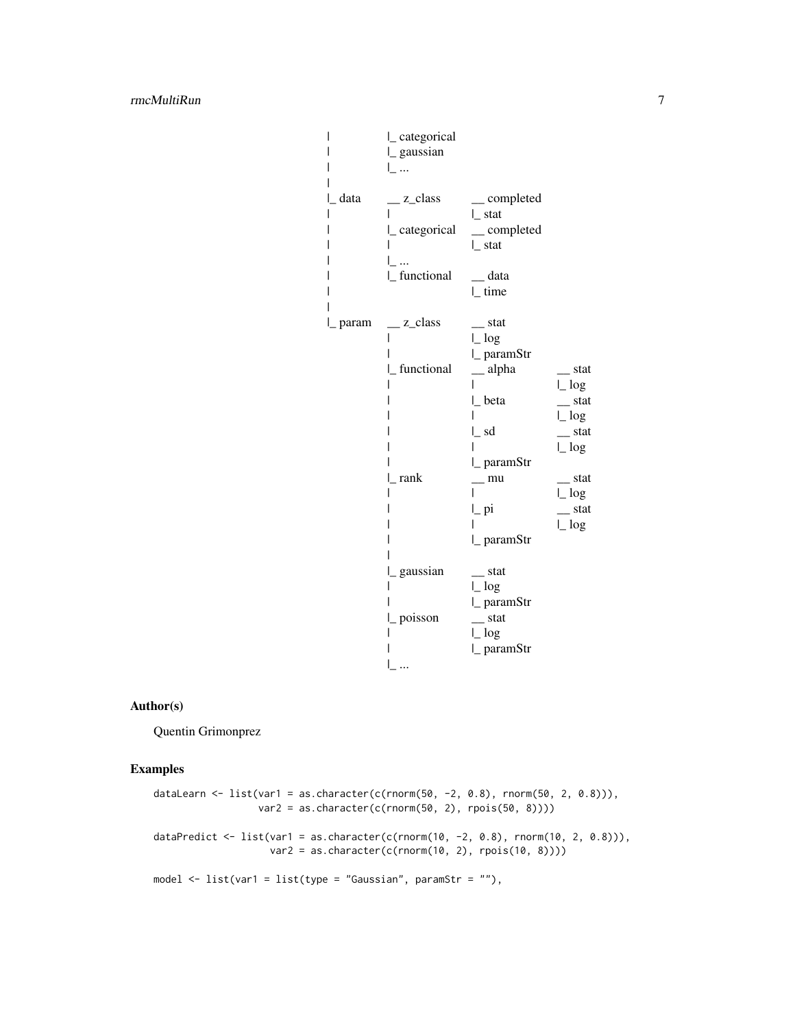

#### Author(s)

Quentin Grimonprez

#### Examples

```
dataLearn \leq list(var1 = as.character(c(rnorm(50, -2, 0.8), rnorm(50, 2, 0.8))),
                 var2 = as.charAter(c(rnorm(50, 2), rpois(50, 8))))dataPredict <- list(var1 = as.character(c(rnorm(10, -2, 0.8), rnorm(10, 2, 0.8))),
                   var2 = as.character(c(rnorm(10, 2), rpois(10, 8))))
model <- list(var1 = list(type = "Gaussian", paramStr = ""),
```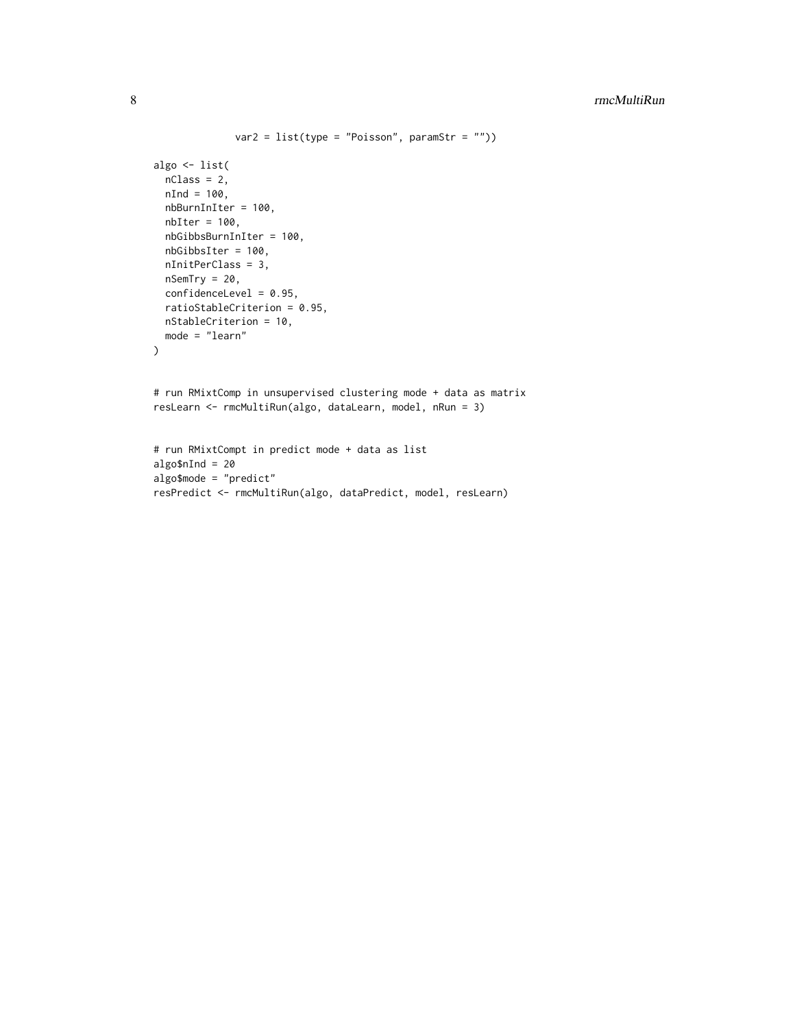```
var2 = list(type = "Poisson", paramStr = "")algo <- list(
 nClass = 2,
 nInd = 100,nbBurnInIter = 100,
 nbIter = 100,nbGibbsBurnInIter = 100,
 nbGibbsIter = 100,
 nInitPerClass = 3,
 nSemTry = 20,
 confidenceLevel = 0.95,
  ratioStableCriterion = 0.95,
  nStableCriterion = 10,
 mode = "learn"
\mathcal{L}# run RMixtComp in unsupervised clustering mode + data as matrix
resLearn <- rmcMultiRun(algo, dataLearn, model, nRun = 3)
# run RMixtCompt in predict mode + data as list
algo$nInd = 20
algo$mode = "predict"
resPredict <- rmcMultiRun(algo, dataPredict, model, resLearn)
```